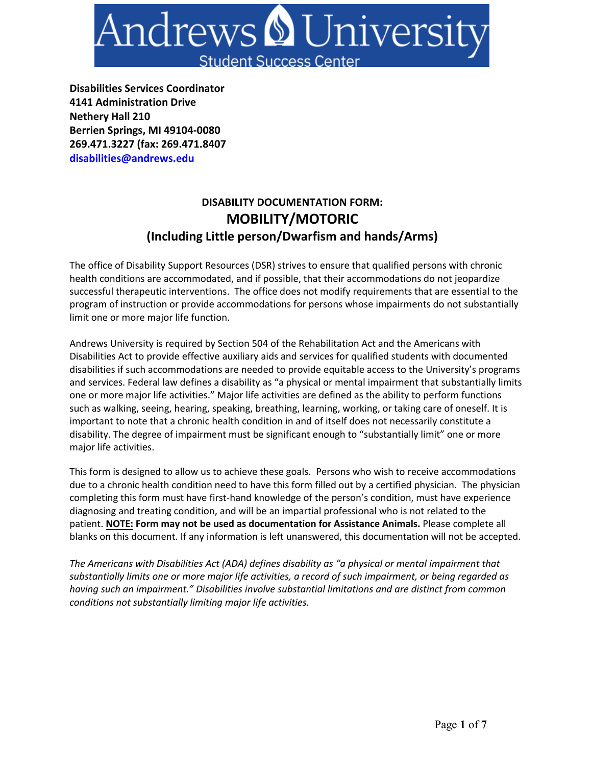

**Disabilities Services Coordinator 4141 Administration Drive Nethery Hall 210 Berrien Springs, MI 49104-0080 269.471.3227 (fax: 269.471.8407 disabilities@andrews.edu**

## **DISABILITY DOCUMENTATION FORM: MOBILITY/MOTORIC (Including Little person/Dwarfism and hands/Arms)**

The office of Disability Support Resources (DSR) strives to ensure that qualified persons with chronic health conditions are accommodated, and if possible, that their accommodations do not jeopardize successful therapeutic interventions. The office does not modify requirements that are essential to the program of instruction or provide accommodations for persons whose impairments do not substantially limit one or more major life function.

Andrews University is required by Section 504 of the Rehabilitation Act and the Americans with Disabilities Act to provide effective auxiliary aids and services for qualified students with documented disabilities if such accommodations are needed to provide equitable access to the University's programs and services. Federal law defines a disability as "a physical or mental impairment that substantially limits one or more major life activities." Major life activities are defined as the ability to perform functions such as walking, seeing, hearing, speaking, breathing, learning, working, or taking care of oneself. It is important to note that a chronic health condition in and of itself does not necessarily constitute a disability. The degree of impairment must be significant enough to "substantially limit" one or more major life activities.

This form is designed to allow us to achieve these goals. Persons who wish to receive accommodations due to a chronic health condition need to have this form filled out by a certified physician. The physician completing this form must have first-hand knowledge of the person's condition, must have experience diagnosing and treating condition, and will be an impartial professional who is not related to the patient. **NOTE: Form may not be used as documentation for Assistance Animals.** Please complete all blanks on this document. If any information is left unanswered, this documentation will not be accepted.

*The Americans with Disabilities Act (ADA) defines disability as "a physical or mental impairment that substantially limits one or more major life activities, a record of such impairment, or being regarded as having such an impairment." Disabilities involve substantial limitations and are distinct from common conditions not substantially limiting major life activities.*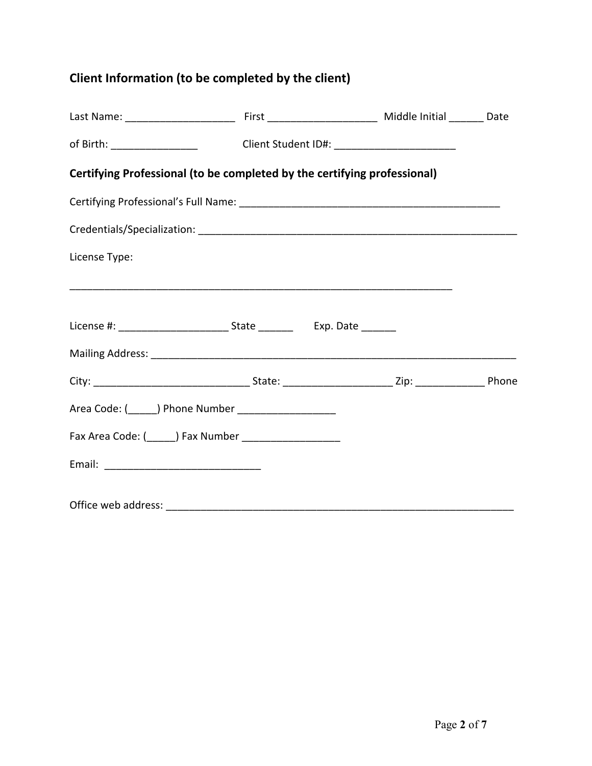## **Client Information (to be completed by the client)**

|                                                                          | of Birth: ______________________________Client Student ID#: _____________________ |  |  |  |  |
|--------------------------------------------------------------------------|-----------------------------------------------------------------------------------|--|--|--|--|
| Certifying Professional (to be completed by the certifying professional) |                                                                                   |  |  |  |  |
|                                                                          |                                                                                   |  |  |  |  |
|                                                                          |                                                                                   |  |  |  |  |
| License Type:                                                            |                                                                                   |  |  |  |  |
|                                                                          |                                                                                   |  |  |  |  |
|                                                                          |                                                                                   |  |  |  |  |
|                                                                          |                                                                                   |  |  |  |  |
|                                                                          |                                                                                   |  |  |  |  |
| Area Code: (_______) Phone Number ______________________                 |                                                                                   |  |  |  |  |
|                                                                          |                                                                                   |  |  |  |  |
|                                                                          |                                                                                   |  |  |  |  |
|                                                                          |                                                                                   |  |  |  |  |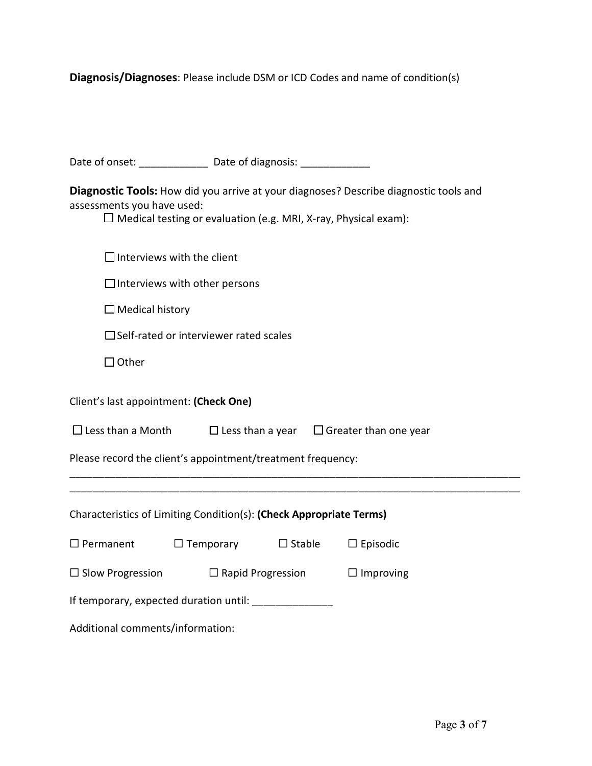**Diagnosis/Diagnoses**: Please include DSM or ICD Codes and name of condition(s)

|                                                                                                                                                                                               |                                | Date of onset: ______________ Date of diagnosis: _____________ |                 |  |  |
|-----------------------------------------------------------------------------------------------------------------------------------------------------------------------------------------------|--------------------------------|----------------------------------------------------------------|-----------------|--|--|
| Diagnostic Tools: How did you arrive at your diagnoses? Describe diagnostic tools and<br>assessments you have used:<br>$\Box$ Medical testing or evaluation (e.g. MRI, X-ray, Physical exam): |                                |                                                                |                 |  |  |
| $\Box$ Interviews with the client                                                                                                                                                             |                                |                                                                |                 |  |  |
| $\Box$ Interviews with other persons                                                                                                                                                          |                                |                                                                |                 |  |  |
| $\Box$ Medical history                                                                                                                                                                        |                                |                                                                |                 |  |  |
| $\Box$ Self-rated or interviewer rated scales                                                                                                                                                 |                                |                                                                |                 |  |  |
| $\Box$ Other                                                                                                                                                                                  |                                |                                                                |                 |  |  |
| Client's last appointment: (Check One)                                                                                                                                                        |                                |                                                                |                 |  |  |
| $\Box$ Less than a Month $\Box$ Less than a year $\Box$ Greater than one year                                                                                                                 |                                |                                                                |                 |  |  |
| Please record the client's appointment/treatment frequency:                                                                                                                                   |                                |                                                                |                 |  |  |
|                                                                                                                                                                                               |                                |                                                                |                 |  |  |
| Characteristics of Limiting Condition(s): (Check Appropriate Terms)                                                                                                                           |                                |                                                                |                 |  |  |
| $\Box$ Permanent                                                                                                                                                                              | $\Box$ Temporary $\Box$ Stable |                                                                | $\Box$ Episodic |  |  |
| $\Box$ Slow Progression<br>$\Box$ Rapid Progression                                                                                                                                           |                                | $\Box$ Improving                                               |                 |  |  |
| If temporary, expected duration until: _______________                                                                                                                                        |                                |                                                                |                 |  |  |
| Additional comments/information:                                                                                                                                                              |                                |                                                                |                 |  |  |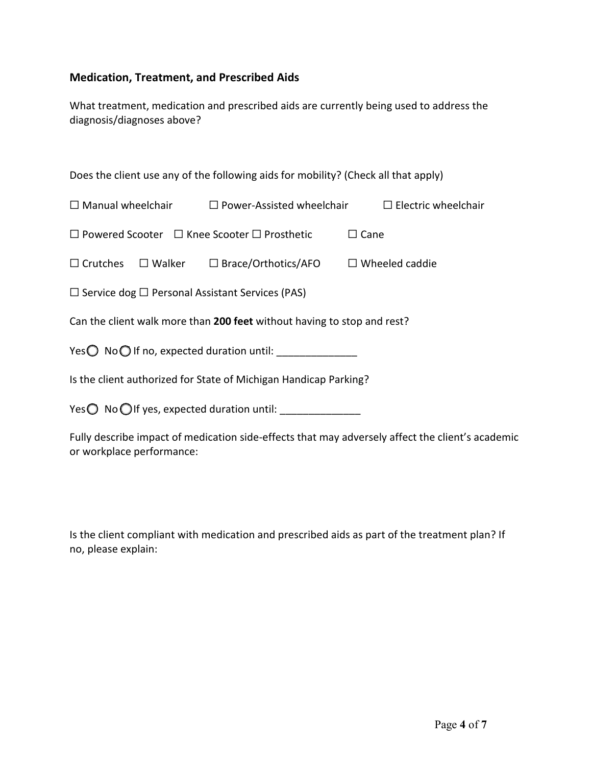## **Medication, Treatment, and Prescribed Aids**

What treatment, medication and prescribed aids are currently being used to address the diagnosis/diagnoses above?

Does the client use any of the following aids for mobility? (Check all that apply)

|                                                                         |                                                                                | $\Box$ Manual wheelchair $\Box$ Power-Assisted wheelchair $\Box$ Electric wheelchair |  |  |  |
|-------------------------------------------------------------------------|--------------------------------------------------------------------------------|--------------------------------------------------------------------------------------|--|--|--|
| $\Box$ Powered Scooter $\Box$ Knee Scooter $\Box$ Prosthetic            |                                                                                | $\Box$ Cane                                                                          |  |  |  |
|                                                                         | $\Box$ Crutches $\Box$ Walker $\Box$ Brace/Orthotics/AFO $\Box$ Wheeled caddie |                                                                                      |  |  |  |
| $\Box$ Service dog $\Box$ Personal Assistant Services (PAS)             |                                                                                |                                                                                      |  |  |  |
| Can the client walk more than 200 feet without having to stop and rest? |                                                                                |                                                                                      |  |  |  |
| Yes $\bigcirc$ No $\bigcirc$ If no, expected duration until:            |                                                                                |                                                                                      |  |  |  |
| Is the client authorized for State of Michigan Handicap Parking?        |                                                                                |                                                                                      |  |  |  |
| Yes $\bigcirc$ No $\bigcirc$ If yes, expected duration until:           |                                                                                |                                                                                      |  |  |  |

Fully describe impact of medication side-effects that may adversely affect the client's academic or workplace performance:

Is the client compliant with medication and prescribed aids as part of the treatment plan? If no, please explain: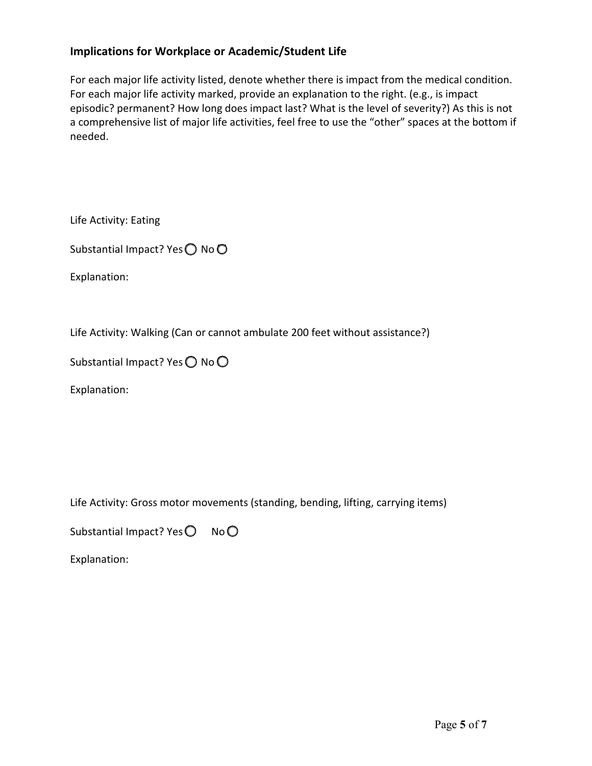## **Implications for Workplace or Academic/Student Life**

For each major life activity listed, denote whether there is impact from the medical condition. For each major life activity marked, provide an explanation to the right. (e.g., is impact episodic? permanent? How long does impact last? What is the level of severity?) As this is not a comprehensive list of major life activities, feel free to use the "other" spaces at the bottom if needed.

Life Activity: Eating

Substantial Impact? Yes ◯ No ◯

Explanation:

Life Activity: Walking (Can or cannot ambulate 200 feet without assistance?)

Substantial Impact? Yes  $\bigcirc$  No  $\bigcirc$ 

Explanation:

Life Activity: Gross motor movements (standing, bending, lifting, carrying items)

Substantial Impact? Yes  $\bigcirc$  No  $\bigcirc$ 

Explanation: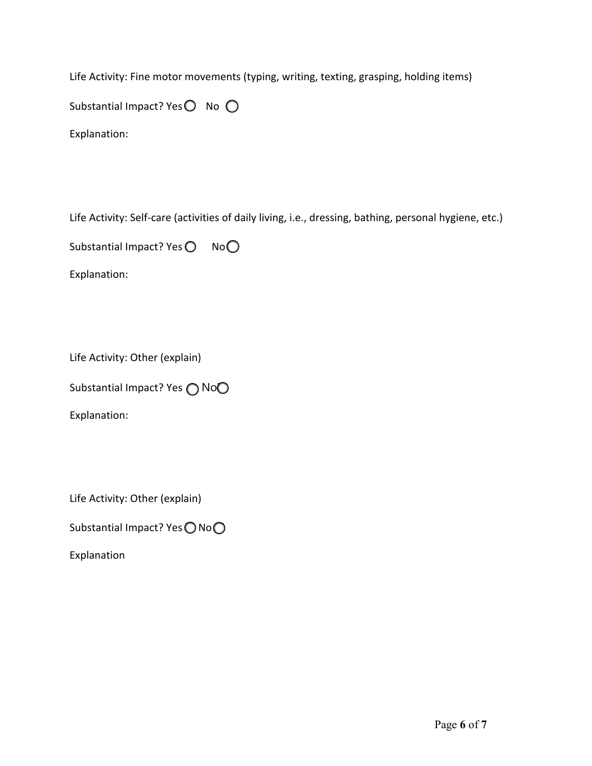Life Activity: Fine motor movements (typing, writing, texting, grasping, holding items) Substantial Impact? Yes $\bigcirc$  No  $\bigcirc$ 

Explanation:

Life Activity: Self-care (activities of daily living, i.e., dressing, bathing, personal hygiene, etc.)

Substantial Impact? Yes  $\bigcirc$  No  $\bigcirc$ 

Explanation:

Life Activity: Other (explain)

Substantial Impact? Yes ∩ No◯

Explanation:

Life Activity: Other (explain)

Substantial Impact? Yes ◯ No ◯

Explanation